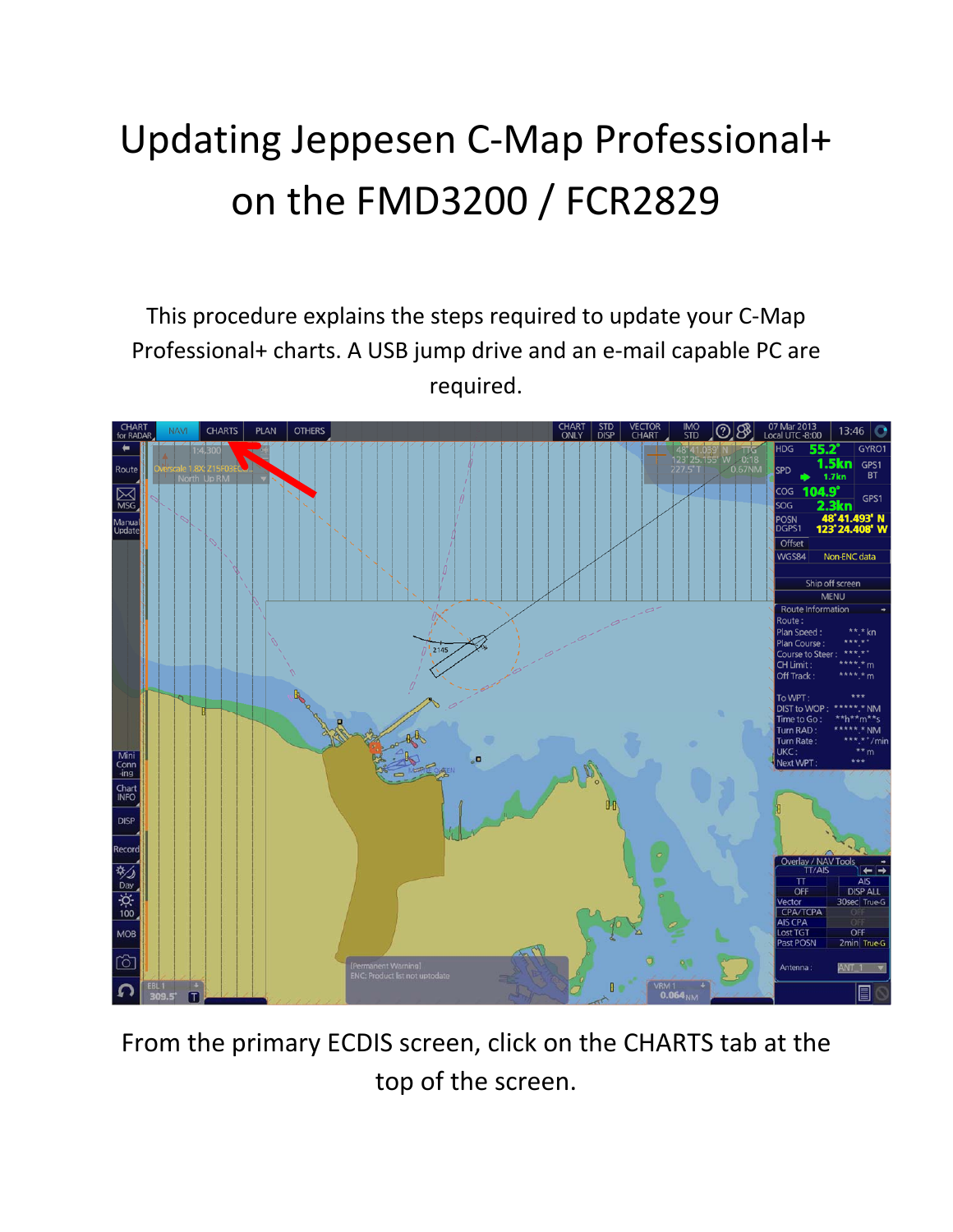## Updating Jeppesen C‐Map Professional+ on the FMD3200 / FCR2829

This procedure explains the steps required to update your C‐Map Professional+ charts. A USB jump drive and an e‐mail capable PC are required.



From the primary ECDIS screen, click on the CHARTS tab at the top of the screen.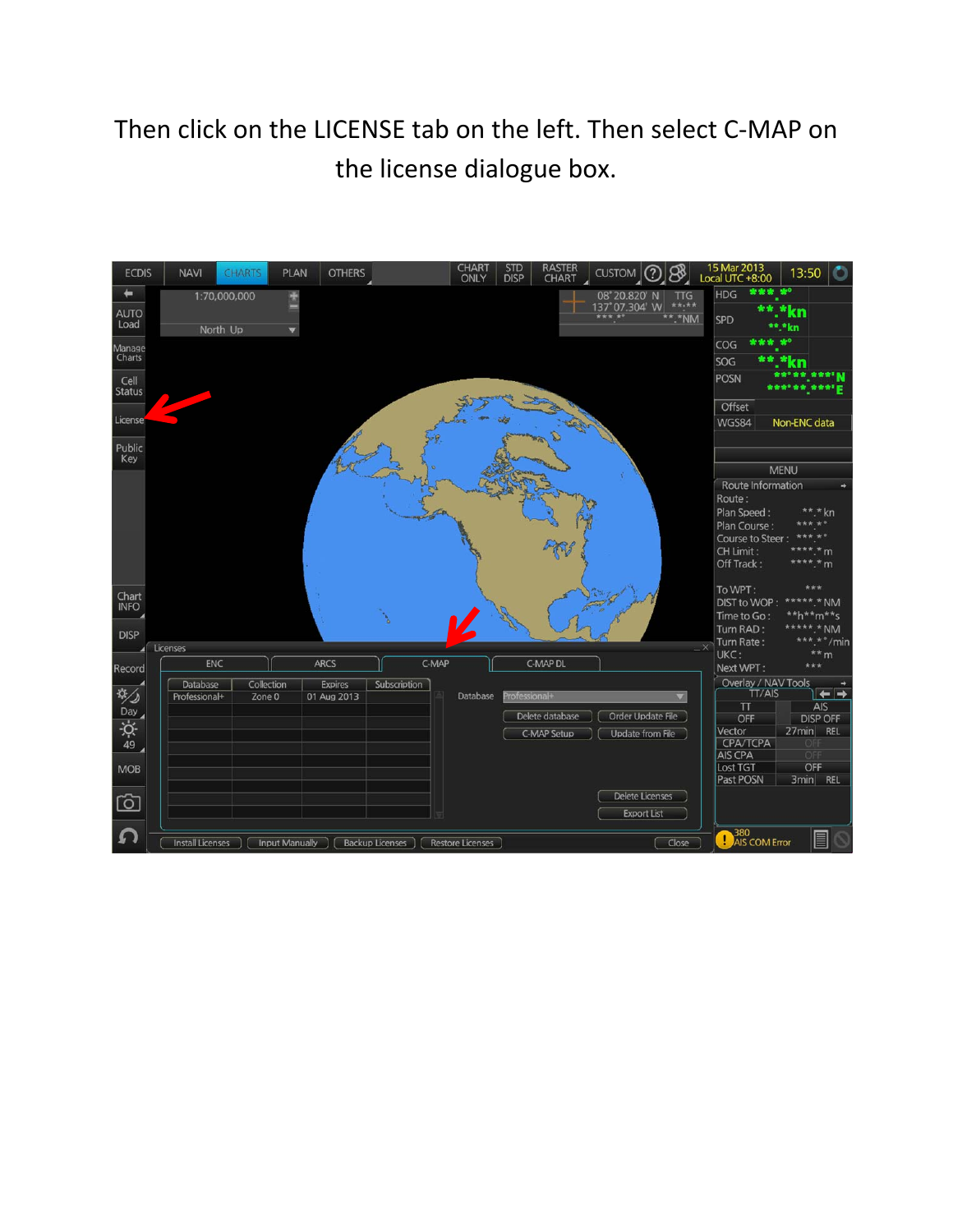## Then click on the LICENSE tab on the left. Then select C‐MAP on the license dialogue box.

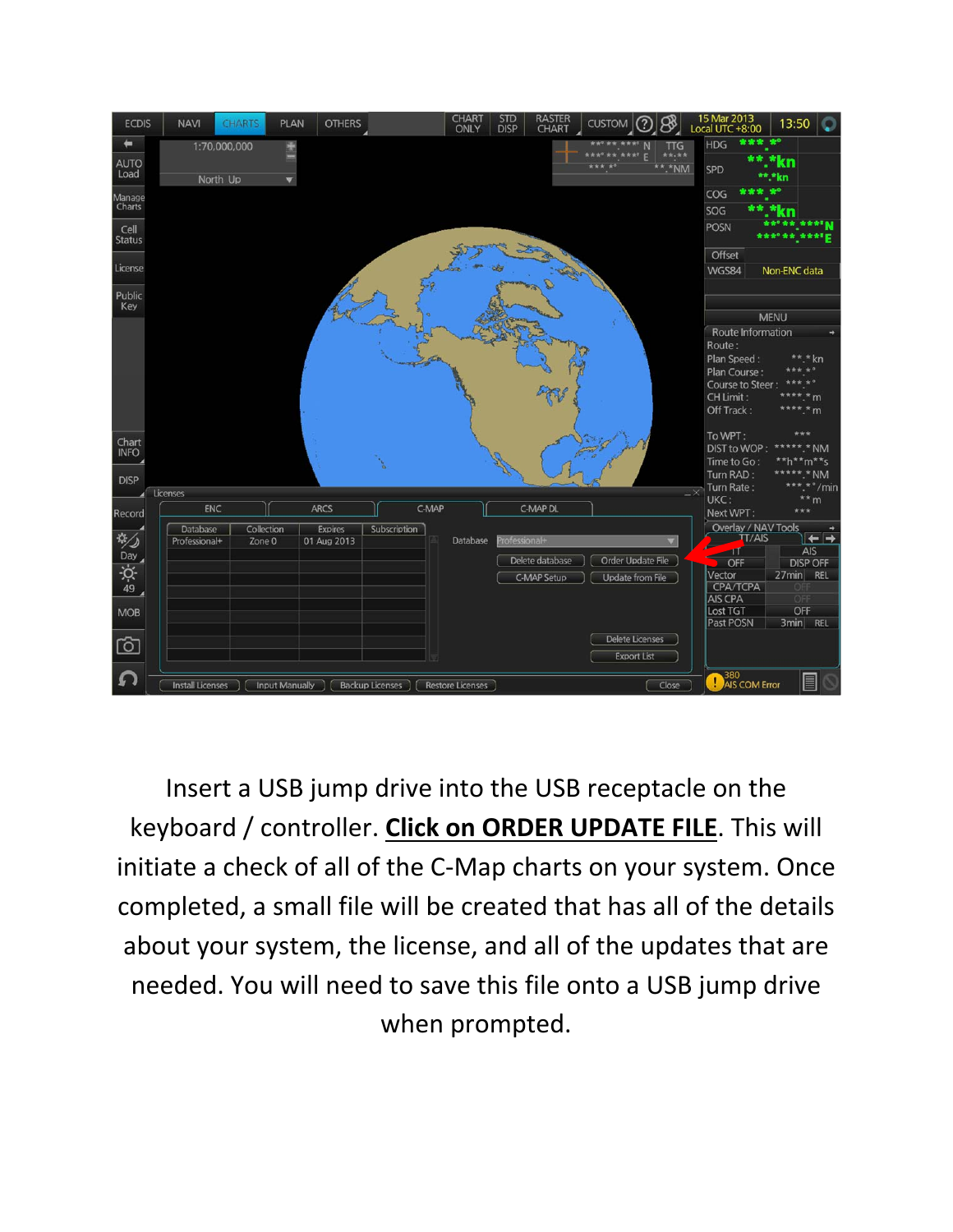

Insert a USB jump drive into the USB receptacle on the keyboard / controller. **Click on ORDER UPDATE FILE**. This will initiate a check of all of the C‐Map charts on your system. Once completed, a small file will be created that has all of the details about your system, the license, and all of the updates that are needed. You will need to save this file onto a USB jump drive when prompted.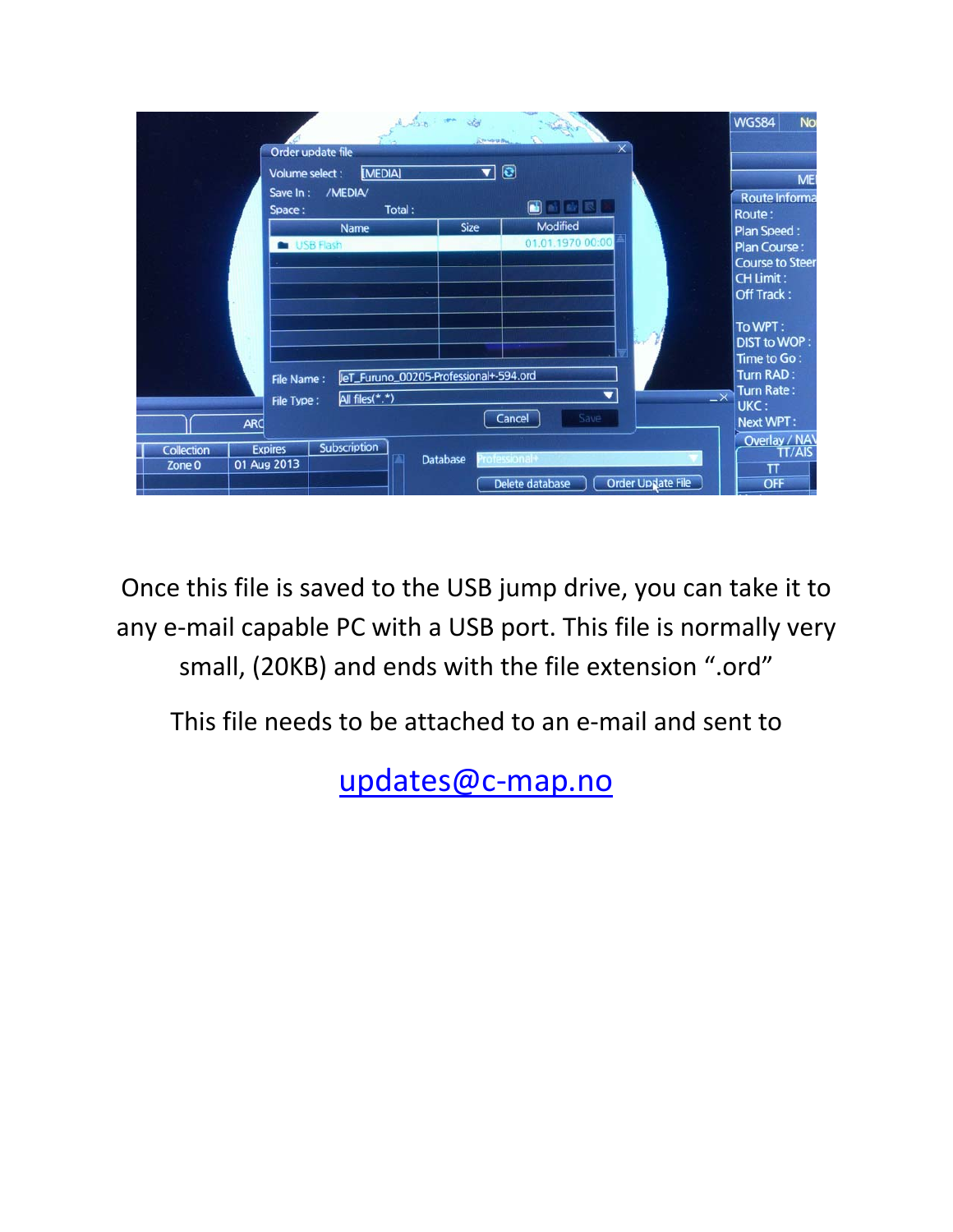|                             |                                                                       | lies or do                                               | <b>STANDING</b>                 |                          |                          | <b>No</b><br><b>WGS84</b>                                                                                       |
|-----------------------------|-----------------------------------------------------------------------|----------------------------------------------------------|---------------------------------|--------------------------|--------------------------|-----------------------------------------------------------------------------------------------------------------|
|                             | Order update file<br>Volume select :<br>/MEDIA/<br>Save In:<br>Space: | [MEDIA]<br>Total:                                        | $\overline{\phantom{a}}$ 0<br>ß | $\times$                 |                          | ME<br>Route Informa                                                                                             |
|                             | Name<br><b>USB Flash</b>                                              |                                                          | Modified<br><b>Size</b>         | 01.01.1970 00:00         |                          | Route:<br><b>Plan Speed:</b><br><b>Plan Course:</b><br><b>Course to Steer</b><br><b>CH Limit:</b><br>Off Track: |
|                             | File Name:<br>File Type:                                              | JeT_Furuno_00205-Professional+-594.ord<br>All files(*.*) |                                 | $\overline{\phantom{a}}$ | $-x$                     | To WPT:<br><b>DIST to WOP:</b><br>Time to Go:<br><b>Turn RAD:</b><br>Turn Rate:<br>UKC:                         |
| <b>ARC</b>                  |                                                                       |                                                          | Cancel                          | Save                     |                          | <b>Next WPT:</b>                                                                                                |
| <b>Collection</b><br>Zone 0 | Subscription<br><b>Expires</b><br>01 Aug 2013                         | <b>Database</b>                                          | ofessional+<br>Delete database  |                          | <b>Order Update File</b> | Overlay / NAV<br><b>TT/AIS</b><br>π<br><b>OFF</b>                                                               |

Once this file is saved to the USB jump drive, you can take it to any e-mail capable PC with a USB port. This file is normally very small, (20KB) and ends with the file extension ".ord"

This file needs to be attached to an e‐mail and sent to

updates@c‐map.no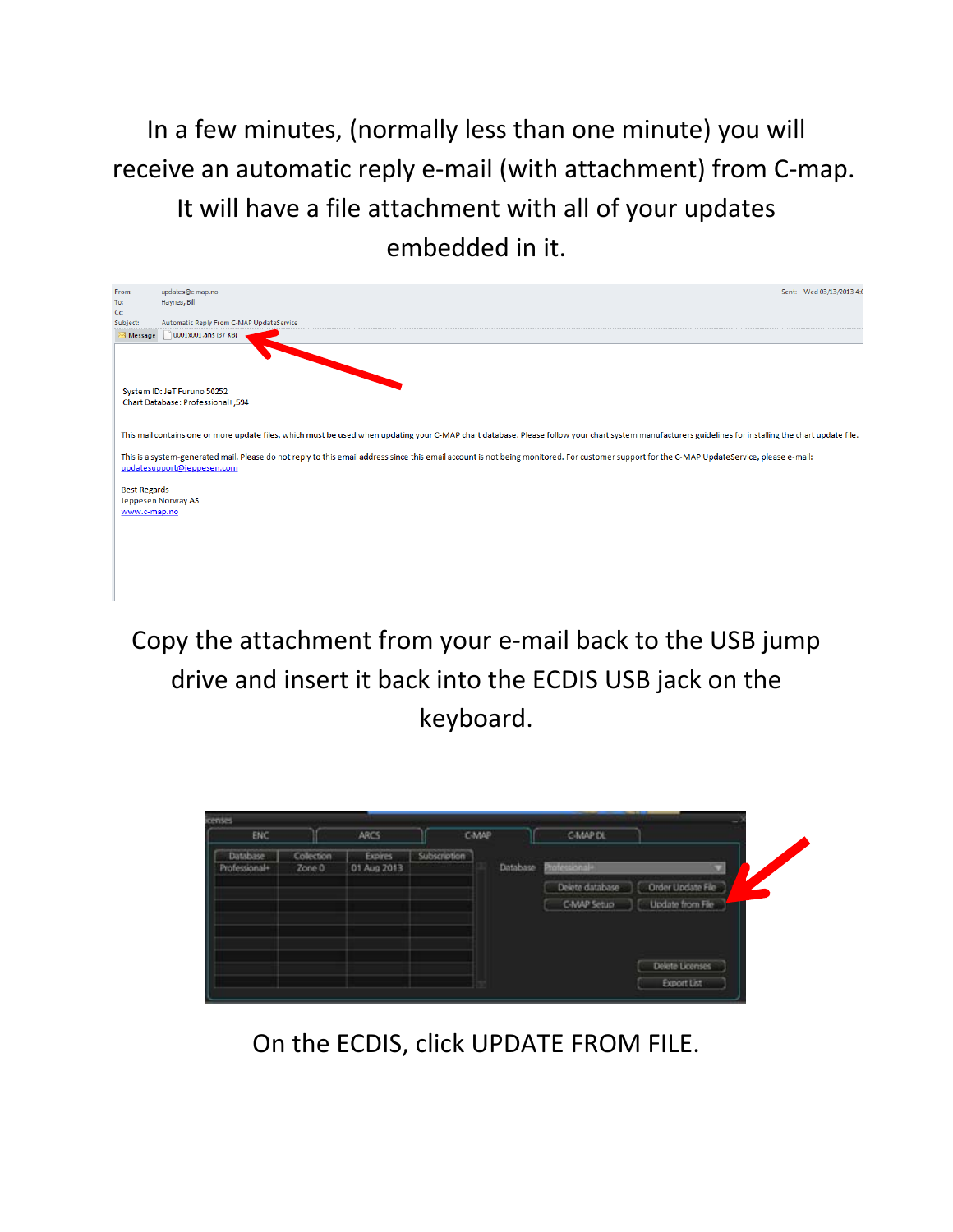In a few minutes, (normally less than one minute) you will receive an automatic reply e‐mail (with attachment) from C‐map. It will have a file attachment with all of your updates embedded in it.

| From:<br>To:<br>Cc  | updates@c-map.no<br>Sent: Wed 03/13/2013 4:0<br>Haynes, Bill                                                                                                                                                                                                                                                                                                                                            |
|---------------------|---------------------------------------------------------------------------------------------------------------------------------------------------------------------------------------------------------------------------------------------------------------------------------------------------------------------------------------------------------------------------------------------------------|
| Subject:<br>Message | Automatic Reply From C-MAP UpdateService<br>u001x001.ans (37 KB)                                                                                                                                                                                                                                                                                                                                        |
|                     |                                                                                                                                                                                                                                                                                                                                                                                                         |
|                     | System ID: JeT Furuno 50252<br>Chart Database: Professional+,594                                                                                                                                                                                                                                                                                                                                        |
|                     |                                                                                                                                                                                                                                                                                                                                                                                                         |
|                     | This mail contains one or more update files, which must be used when updating your C-MAP chart database. Please follow your chart system manufacturers guidelines for installing the chart update file.<br>This is a system-generated mail. Please do not reply to this email address since this email account is not being monitored. For customer support for the C-MAP UpdateService, please e-mail: |
|                     | updatesupport@jeppesen.com                                                                                                                                                                                                                                                                                                                                                                              |
| <b>Best Regards</b> | Jeppesen Norway AS                                                                                                                                                                                                                                                                                                                                                                                      |
| www.c-map.no        |                                                                                                                                                                                                                                                                                                                                                                                                         |
|                     |                                                                                                                                                                                                                                                                                                                                                                                                         |
|                     |                                                                                                                                                                                                                                                                                                                                                                                                         |

Copy the attachment from your e‐mail back to the USB jump drive and insert it back into the ECDIS USB jack on the keyboard.

| censes<br><b>ENC</b>      |                      | <b>ARCS</b>            | CMAP         |          | C-MAP DL        |                   |
|---------------------------|----------------------|------------------------|--------------|----------|-----------------|-------------------|
| Database<br>Professional+ | Collection<br>Zone 0 | Expires<br>01 Aug 2013 | Subscription | Database | +lanciation     |                   |
|                           |                      |                        |              |          | Delete database | Order Update File |
|                           |                      |                        |              |          | C-MAP Setup     | Update from Fie   |
|                           |                      |                        |              |          |                 |                   |
|                           |                      |                        |              |          |                 |                   |
|                           |                      |                        |              |          |                 | Delete Licenses   |
|                           |                      |                        |              |          |                 | Export List       |

On the ECDIS, click UPDATE FROM FILE.